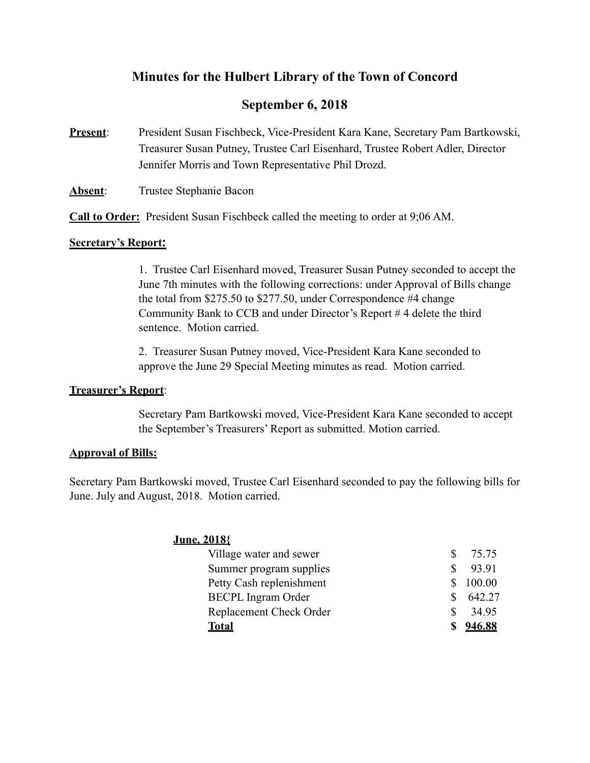# **Minutes for the Hulbert Library of the Town of Concord**

# **September 6, 2018**

**Present**: President Susan Fischbeck, Vice-President Kara Kane, Secretary Pam Bartkowski, Treasurer Susan Putney, Trustee Carl Eisenhard, Trustee Robert Adler, Director Jennifer Morris and Town Representative Phil Drozd.

**Absent:** Trustee Stephanie Bacon

**Call to Order:** President Susan Fischbeck called the meeting to order at 9;06 AM.

### **Secretary's Report:**

1. Trustee Carl Eisenhard moved, Treasurer Susan Putney seconded to accept the June 7th minutes with the following corrections: under Approval of Bills change the total from \$275.50 to \$277.50, under Correspondence #4 change Community Bank to CCB and under Director's Report # 4 delete the third sentence. Motion carried.

 2. Treasurer Susan Putney moved, Vice-President Kara Kane seconded to approve the June 29 Special Meeting minutes as read. Motion carried.

### **Treasurer's Report**:

 Secretary Pam Bartkowski moved, Vice-President Kara Kane seconded to accept the September's Treasurers' Report as submitted. Motion carried.

## **Approval of Bills:**

Secretary Pam Bartkowski moved, Trustee Carl Eisenhard seconded to pay the following bills for June. July and August, 2018. Motion carried.

## **June, 2018{**

| Village water and sewer   | S. | 75.75  |
|---------------------------|----|--------|
| Summer program supplies   |    | 93.91  |
| Petty Cash replenishment  | S. | 100.00 |
| <b>BECPL</b> Ingram Order |    | 642.27 |
| Replacement Check Order   |    | 34.95  |
| <b>Total</b>              |    | 946.88 |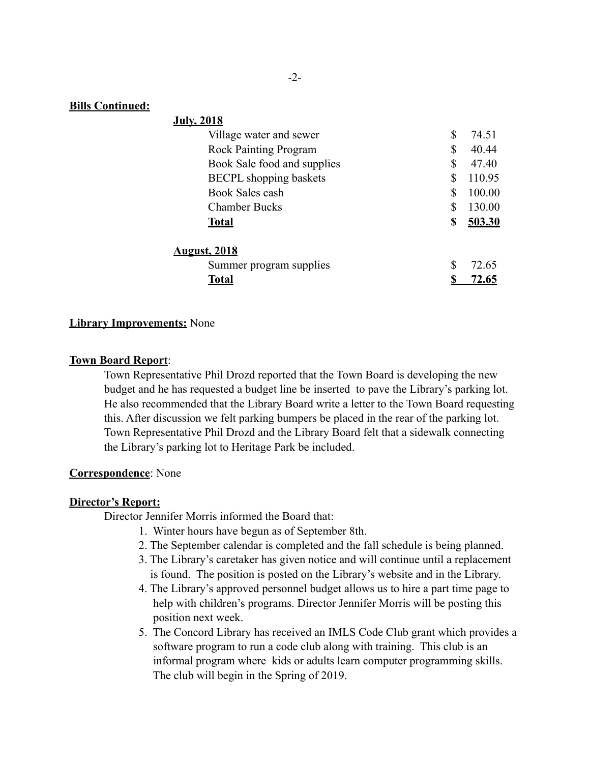### **Bills Continued:**

| <b>July, 2018</b>             |              |
|-------------------------------|--------------|
| Village water and sewer       | \$<br>74.51  |
| <b>Rock Painting Program</b>  | \$<br>40.44  |
| Book Sale food and supplies   | \$<br>47.40  |
| <b>BECPL</b> shopping baskets | \$<br>110.95 |
| Book Sales cash               | \$<br>100.00 |
| <b>Chamber Bucks</b>          | \$<br>130.00 |
| <b>Total</b>                  | \$<br>503.30 |
| <u>August, 2018</u>           |              |
| Summer program supplies       | \$<br>72.65  |
| <u>Total</u>                  | <u>72.65</u> |

#### **Library Improvements:** None

#### **Town Board Report**:

 Town Representative Phil Drozd reported that the Town Board is developing the new budget and he has requested a budget line be inserted to pave the Library's parking lot. He also recommended that the Library Board write a letter to the Town Board requesting this. After discussion we felt parking bumpers be placed in the rear of the parking lot. Town Representative Phil Drozd and the Library Board felt that a sidewalk connecting the Library's parking lot to Heritage Park be included.

#### **Correspondence**: None

#### **Director's Report:**

Director Jennifer Morris informed the Board that:

- 1. Winter hours have begun as of September 8th.
- 2. The September calendar is completed and the fall schedule is being planned.
- 3. The Library's caretaker has given notice and will continue until a replacement is found. The position is posted on the Library's website and in the Library.
- 4. The Library's approved personnel budget allows us to hire a part time page to help with children's programs. Director Jennifer Morris will be posting this position next week.
- 5. The Concord Library has received an IMLS Code Club grant which provides a software program to run a code club along with training. This club is an informal program where kids or adults learn computer programming skills. The club will begin in the Spring of 2019.